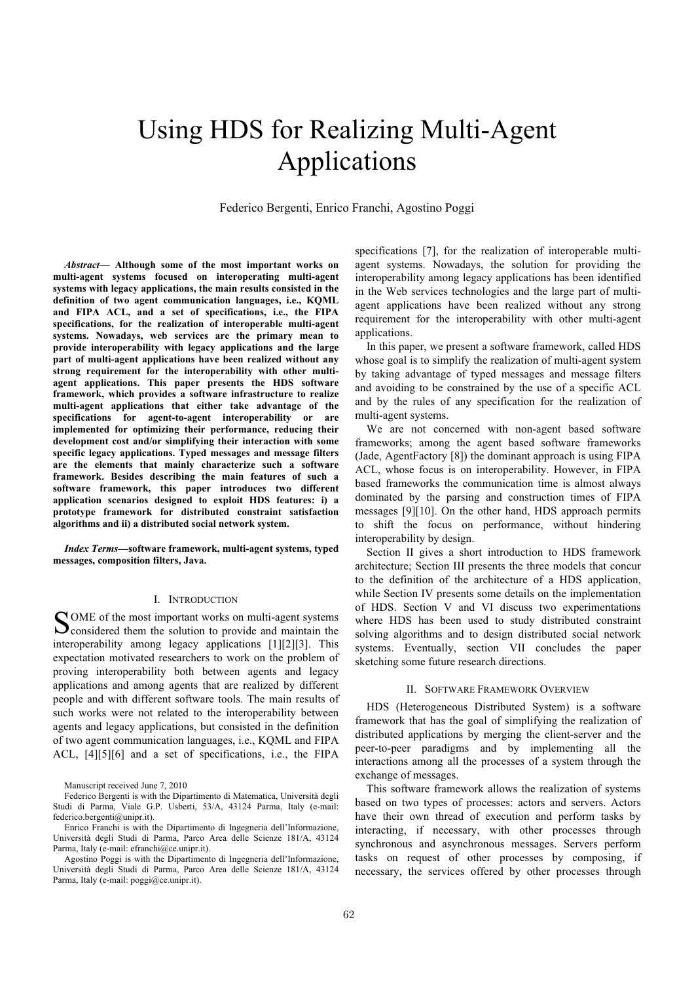# Using HDS for Realizing Multi-Agent Applications

Federico Bergenti, Enrico Franchi, Agostino Poggi

*Abstract***— Although some of the most important works on multi-agent systems focused on interoperating multi-agent systems with legacy applications, the main results consisted in the definition of two agent communication languages, i.e., KQML and FIPA ACL, and a set of specifications, i.e., the FIPA specifications, for the realization of interoperable multi-agent systems. Nowadays, web services are the primary mean to provide interoperability with legacy applications and the large part of multi-agent applications have been realized without any strong requirement for the interoperability with other multiagent applications. This paper presents the HDS software framework, which provides a software infrastructure to realize multi-agent applications that either take advantage of the specifications for agent-to-agent interoperability or are implemented for optimizing their performance, reducing their development cost and/or simplifying their interaction with some specific legacy applications. Typed messages and message filters are the elements that mainly characterize such a software framework. Besides describing the main features of such a software framework, this paper introduces two different application scenarios designed to exploit HDS features: i) a prototype framework for distributed constraint satisfaction algorithms and ii) a distributed social network system.** 

*Index Terms***—software framework, multi-agent systems, typed messages, composition filters, Java.** 

### I. INTRODUCTION

OME of the most important works on multi-agent systems SOME of the most important works on multi-agent systems<br>considered them the solution to provide and maintain the interoperability among legacy applications [1][2][3]. This expectation motivated researchers to work on the problem of proving interoperability both between agents and legacy applications and among agents that are realized by different people and with different software tools. The main results of such works were not related to the interoperability between agents and legacy applications, but consisted in the definition of two agent communication languages, i.e., KQML and FIPA ACL, [4][5][6] and a set of specifications, i.e., the FIPA

Manuscript received June 7, 2010

specifications [7], for the realization of interoperable multiagent systems. Nowadays, the solution for providing the interoperability among legacy applications has been identified in the Web services technologies and the large part of multiagent applications have been realized without any strong requirement for the interoperability with other multi-agent applications.

In this paper, we present a software framework, called HDS whose goal is to simplify the realization of multi-agent system by taking advantage of typed messages and message filters and avoiding to be constrained by the use of a specific ACL and by the rules of any specification for the realization of multi-agent systems.

We are not concerned with non-agent based software frameworks; among the agent based software frameworks (Jade, AgentFactory [8]) the dominant approach is using FIPA ACL, whose focus is on interoperability. However, in FIPA based frameworks the communication time is almost always dominated by the parsing and construction times of FIPA messages [9][10]. On the other hand, HDS approach permits to shift the focus on performance, without hindering interoperability by design.

Section II gives a short introduction to HDS framework architecture; Section III presents the three models that concur to the definition of the architecture of a HDS application, while Section IV presents some details on the implementation of HDS. Section V and VI discuss two experimentations where HDS has been used to study distributed constraint solving algorithms and to design distributed social network systems. Eventually, section VII concludes the paper sketching some future research directions.

# II. SOFTWARE FRAMEWORK OVERVIEW

HDS (Heterogeneous Distributed System) is a software framework that has the goal of simplifying the realization of distributed applications by merging the client-server and the peer-to-peer paradigms and by implementing all the interactions among all the processes of a system through the exchange of messages.

This software framework allows the realization of systems based on two types of processes: actors and servers. Actors have their own thread of execution and perform tasks by interacting, if necessary, with other processes through synchronous and asynchronous messages. Servers perform tasks on request of other processes by composing, if necessary, the services offered by other processes through

Federico Bergenti is with the Dipartimento di Matematica, Università degli Studi di Parma, Viale G.P. Usberti, 53/A, 43124 Parma, Italy (e-mail: federico.bergenti@unipr.it).

Enrico Franchi is with the Dipartimento di Ingegneria dell'Informazione, Università degli Studi di Parma, Parco Area delle Scienze 181/A, 43124 Parma, Italy (e-mail: efranchi@ce.unipr.it).

Agostino Poggi is with the Dipartimento di Ingegneria dell'Informazione, Università degli Studi di Parma, Parco Area delle Scienze 181/A, 43124 Parma, Italy (e-mail: poggi@ce.unipr.it).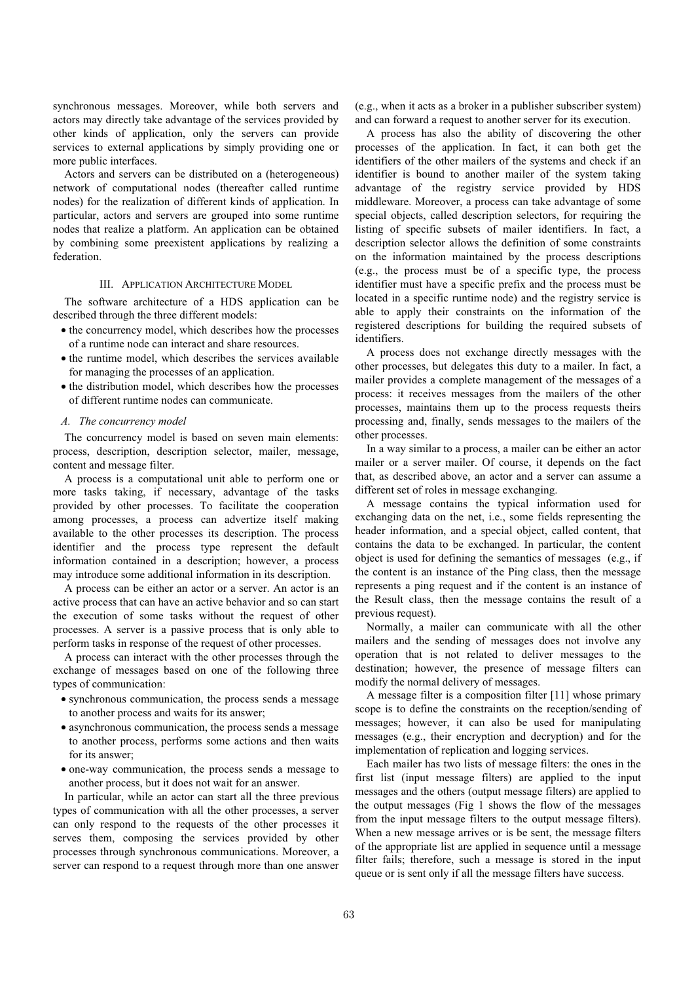synchronous messages. Moreover, while both servers and actors may directly take advantage of the services provided by other kinds of application, only the servers can provide services to external applications by simply providing one or more public interfaces.

Actors and servers can be distributed on a (heterogeneous) network of computational nodes (thereafter called runtime nodes) for the realization of different kinds of application. In particular, actors and servers are grouped into some runtime nodes that realize a platform. An application can be obtained by combining some preexistent applications by realizing a federation.

# III. APPLICATION ARCHITECTURE MODEL

The software architecture of a HDS application can be described through the three different models:

- the concurrency model, which describes how the processes of a runtime node can interact and share resources.
- the runtime model, which describes the services available for managing the processes of an application.
- the distribution model, which describes how the processes of different runtime nodes can communicate.

#### *A. The concurrency model*

The concurrency model is based on seven main elements: process, description, description selector, mailer, message, content and message filter.

A process is a computational unit able to perform one or more tasks taking, if necessary, advantage of the tasks provided by other processes. To facilitate the cooperation among processes, a process can advertize itself making available to the other processes its description. The process identifier and the process type represent the default information contained in a description; however, a process may introduce some additional information in its description.

A process can be either an actor or a server. An actor is an active process that can have an active behavior and so can start the execution of some tasks without the request of other processes. A server is a passive process that is only able to perform tasks in response of the request of other processes.

A process can interact with the other processes through the exchange of messages based on one of the following three types of communication:

- synchronous communication, the process sends a message to another process and waits for its answer;
- asynchronous communication, the process sends a message to another process, performs some actions and then waits for its answer;
- one-way communication, the process sends a message to another process, but it does not wait for an answer.

In particular, while an actor can start all the three previous types of communication with all the other processes, a server can only respond to the requests of the other processes it serves them, composing the services provided by other processes through synchronous communications. Moreover, a server can respond to a request through more than one answer (e.g., when it acts as a broker in a publisher subscriber system) and can forward a request to another server for its execution.

A process has also the ability of discovering the other processes of the application. In fact, it can both get the identifiers of the other mailers of the systems and check if an identifier is bound to another mailer of the system taking advantage of the registry service provided by HDS middleware. Moreover, a process can take advantage of some special objects, called description selectors, for requiring the listing of specific subsets of mailer identifiers. In fact, a description selector allows the definition of some constraints on the information maintained by the process descriptions (e.g., the process must be of a specific type, the process identifier must have a specific prefix and the process must be located in a specific runtime node) and the registry service is able to apply their constraints on the information of the registered descriptions for building the required subsets of identifiers.

A process does not exchange directly messages with the other processes, but delegates this duty to a mailer. In fact, a mailer provides a complete management of the messages of a process: it receives messages from the mailers of the other processes, maintains them up to the process requests theirs processing and, finally, sends messages to the mailers of the other processes.

In a way similar to a process, a mailer can be either an actor mailer or a server mailer. Of course, it depends on the fact that, as described above, an actor and a server can assume a different set of roles in message exchanging.

A message contains the typical information used for exchanging data on the net, i.e., some fields representing the header information, and a special object, called content, that contains the data to be exchanged. In particular, the content object is used for defining the semantics of messages (e.g., if the content is an instance of the Ping class, then the message represents a ping request and if the content is an instance of the Result class, then the message contains the result of a previous request).

Normally, a mailer can communicate with all the other mailers and the sending of messages does not involve any operation that is not related to deliver messages to the destination; however, the presence of message filters can modify the normal delivery of messages.

A message filter is a composition filter [11] whose primary scope is to define the constraints on the reception/sending of messages; however, it can also be used for manipulating messages (e.g., their encryption and decryption) and for the implementation of replication and logging services.

Each mailer has two lists of message filters: the ones in the first list (input message filters) are applied to the input messages and the others (output message filters) are applied to the output messages (Fig 1 shows the flow of the messages from the input message filters to the output message filters). When a new message arrives or is be sent, the message filters of the appropriate list are applied in sequence until a message filter fails; therefore, such a message is stored in the input queue or is sent only if all the message filters have success.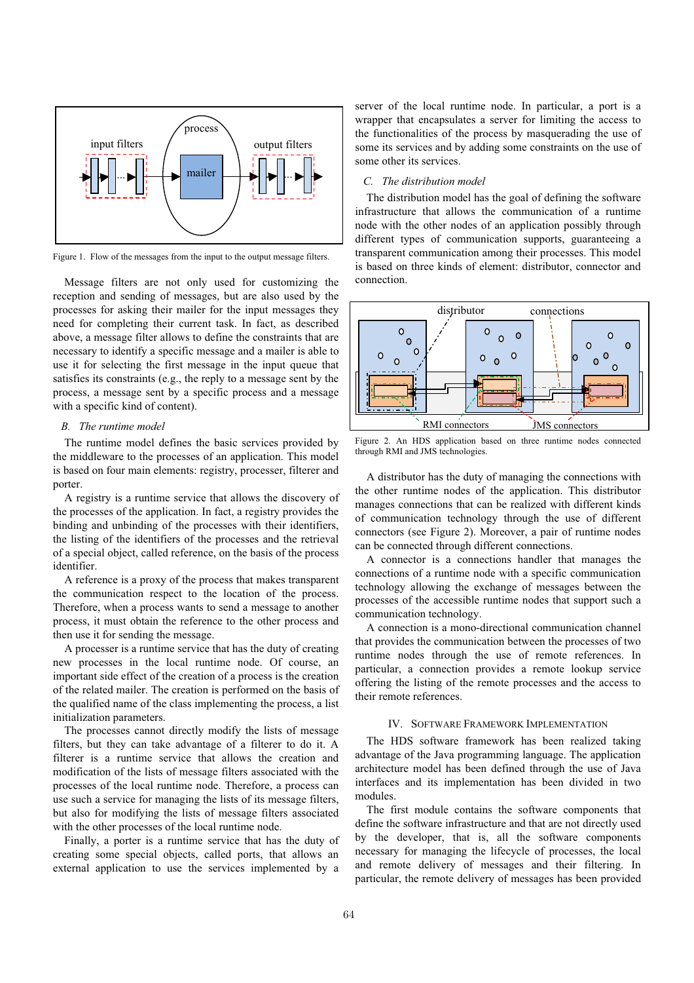

Figure 1. Flow of the messages from the input to the output message filters.

Message filters are not only used for customizing the reception and sending of messages, but are also used by the processes for asking their mailer for the input messages they need for completing their current task. In fact, as described above, a message filter allows to define the constraints that are necessary to identify a specific message and a mailer is able to use it for selecting the first message in the input queue that satisfies its constraints (e.g., the reply to a message sent by the process, a message sent by a specific process and a message with a specific kind of content).

# *B. The runtime model*

The runtime model defines the basic services provided by the middleware to the processes of an application. This model is based on four main elements: registry, processer, filterer and porter.

A registry is a runtime service that allows the discovery of the processes of the application. In fact, a registry provides the binding and unbinding of the processes with their identifiers, the listing of the identifiers of the processes and the retrieval of a special object, called reference, on the basis of the process identifier.

A reference is a proxy of the process that makes transparent the communication respect to the location of the process. Therefore, when a process wants to send a message to another process, it must obtain the reference to the other process and then use it for sending the message.

A processer is a runtime service that has the duty of creating new processes in the local runtime node. Of course, an important side effect of the creation of a process is the creation of the related mailer. The creation is performed on the basis of the qualified name of the class implementing the process, a list initialization parameters.

The processes cannot directly modify the lists of message filters, but they can take advantage of a filterer to do it. A filterer is a runtime service that allows the creation and modification of the lists of message filters associated with the processes of the local runtime node. Therefore, a process can use such a service for managing the lists of its message filters, but also for modifying the lists of message filters associated with the other processes of the local runtime node.

Finally, a porter is a runtime service that has the duty of creating some special objects, called ports, that allows an external application to use the services implemented by a server of the local runtime node. In particular, a port is a wrapper that encapsulates a server for limiting the access to the functionalities of the process by masquerading the use of some its services and by adding some constraints on the use of some other its services.

## *C. The distribution model*

The distribution model has the goal of defining the software infrastructure that allows the communication of a runtime node with the other nodes of an application possibly through different types of communication supports, guaranteeing a transparent communication among their processes. This model is based on three kinds of element: distributor, connector and connection.



Figure 2. An HDS application based on three runtime nodes connected through RMI and JMS technologies.

A distributor has the duty of managing the connections with the other runtime nodes of the application. This distributor manages connections that can be realized with different kinds of communication technology through the use of different connectors (see Figure 2). Moreover, a pair of runtime nodes can be connected through different connections.

A connector is a connections handler that manages the connections of a runtime node with a specific communication technology allowing the exchange of messages between the processes of the accessible runtime nodes that support such a communication technology.

A connection is a mono-directional communication channel that provides the communication between the processes of two runtime nodes through the use of remote references. In particular, a connection provides a remote lookup service offering the listing of the remote processes and the access to their remote references.

# IV. SOFTWARE FRAMEWORK IMPLEMENTATION

The HDS software framework has been realized taking advantage of the Java programming language. The application architecture model has been defined through the use of Java interfaces and its implementation has been divided in two modules.

The first module contains the software components that define the software infrastructure and that are not directly used by the developer, that is, all the software components necessary for managing the lifecycle of processes, the local and remote delivery of messages and their filtering. In particular, the remote delivery of messages has been provided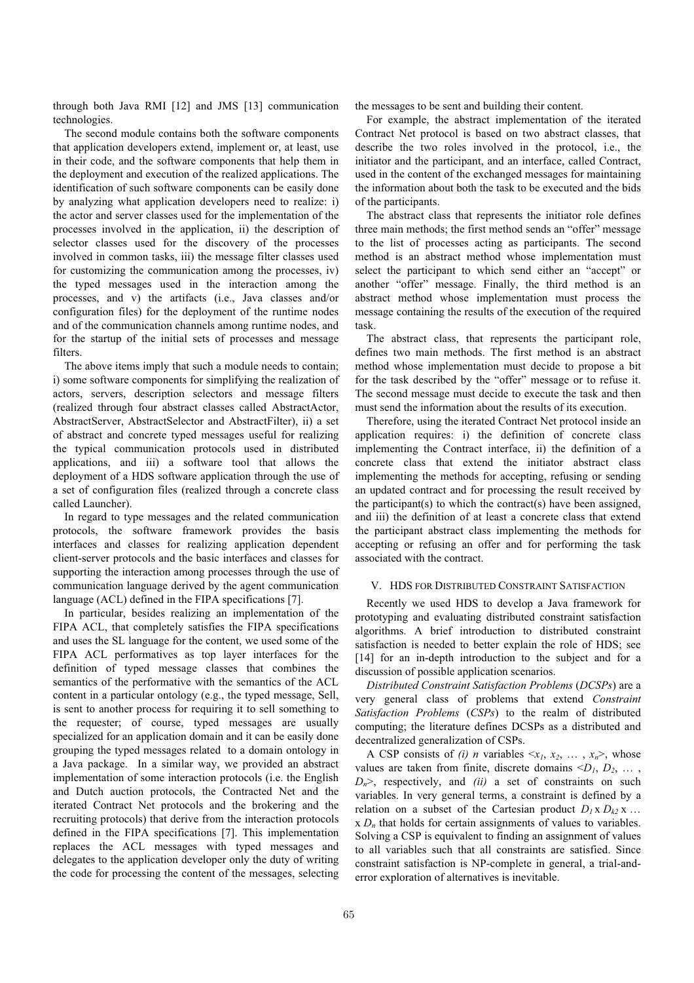through both Java RMI [12] and JMS [13] communication technologies.

The second module contains both the software components that application developers extend, implement or, at least, use in their code, and the software components that help them in the deployment and execution of the realized applications. The identification of such software components can be easily done by analyzing what application developers need to realize: i) the actor and server classes used for the implementation of the processes involved in the application, ii) the description of selector classes used for the discovery of the processes involved in common tasks, iii) the message filter classes used for customizing the communication among the processes, iv) the typed messages used in the interaction among the processes, and v) the artifacts (i.e., Java classes and/or configuration files) for the deployment of the runtime nodes and of the communication channels among runtime nodes, and for the startup of the initial sets of processes and message filters.

The above items imply that such a module needs to contain; i) some software components for simplifying the realization of actors, servers, description selectors and message filters (realized through four abstract classes called AbstractActor, AbstractServer, AbstractSelector and AbstractFilter), ii) a set of abstract and concrete typed messages useful for realizing the typical communication protocols used in distributed applications, and iii) a software tool that allows the deployment of a HDS software application through the use of a set of configuration files (realized through a concrete class called Launcher).

In regard to type messages and the related communication protocols, the software framework provides the basis interfaces and classes for realizing application dependent client-server protocols and the basic interfaces and classes for supporting the interaction among processes through the use of communication language derived by the agent communication language (ACL) defined in the FIPA specifications [7].

In particular, besides realizing an implementation of the FIPA ACL, that completely satisfies the FIPA specifications and uses the SL language for the content, we used some of the FIPA ACL performatives as top layer interfaces for the definition of typed message classes that combines the semantics of the performative with the semantics of the ACL content in a particular ontology (e.g., the typed message, Sell, is sent to another process for requiring it to sell something to the requester; of course, typed messages are usually specialized for an application domain and it can be easily done grouping the typed messages related to a domain ontology in a Java package. In a similar way, we provided an abstract implementation of some interaction protocols (i.e. the English and Dutch auction protocols, the Contracted Net and the iterated Contract Net protocols and the brokering and the recruiting protocols) that derive from the interaction protocols defined in the FIPA specifications [7]. This implementation replaces the ACL messages with typed messages and delegates to the application developer only the duty of writing the code for processing the content of the messages, selecting the messages to be sent and building their content.

For example, the abstract implementation of the iterated Contract Net protocol is based on two abstract classes, that describe the two roles involved in the protocol, i.e., the initiator and the participant, and an interface, called Contract, used in the content of the exchanged messages for maintaining the information about both the task to be executed and the bids of the participants.

The abstract class that represents the initiator role defines three main methods; the first method sends an "offer" message to the list of processes acting as participants. The second method is an abstract method whose implementation must select the participant to which send either an "accept" or another "offer" message. Finally, the third method is an abstract method whose implementation must process the message containing the results of the execution of the required task.

The abstract class, that represents the participant role, defines two main methods. The first method is an abstract method whose implementation must decide to propose a bit for the task described by the "offer" message or to refuse it. The second message must decide to execute the task and then must send the information about the results of its execution.

Therefore, using the iterated Contract Net protocol inside an application requires: i) the definition of concrete class implementing the Contract interface, ii) the definition of a concrete class that extend the initiator abstract class implementing the methods for accepting, refusing or sending an updated contract and for processing the result received by the participant(s) to which the contract(s) have been assigned, and iii) the definition of at least a concrete class that extend the participant abstract class implementing the methods for accepting or refusing an offer and for performing the task associated with the contract.

# V. HDS FOR DISTRIBUTED CONSTRAINT SATISFACTION

Recently we used HDS to develop a Java framework for prototyping and evaluating distributed constraint satisfaction algorithms. A brief introduction to distributed constraint satisfaction is needed to better explain the role of HDS; see [14] for an in-depth introduction to the subject and for a discussion of possible application scenarios.

*Distributed Constraint Satisfaction Problems* (*DCSPs*) are a very general class of problems that extend *Constraint Satisfaction Problems* (*CSPs*) to the realm of distributed computing; the literature defines DCSPs as a distributed and decentralized generalization of CSPs.

A CSP consists of *(i) n* variables  $\langle x_1, x_2, \ldots, x_n \rangle$ , whose values are taken from finite, discrete domains  $\langle D_1, D_2, \ldots \rangle$  $D_n$ , respectively, and *(ii)* a set of constraints on such variables. In very general terms, a constraint is defined by a relation on a subset of the Cartesian product  $D_1 \times D_{k2} \times ...$  $\propto D_n$  that holds for certain assignments of values to variables. Solving a CSP is equivalent to finding an assignment of values to all variables such that all constraints are satisfied. Since constraint satisfaction is NP-complete in general, a trial-anderror exploration of alternatives is inevitable.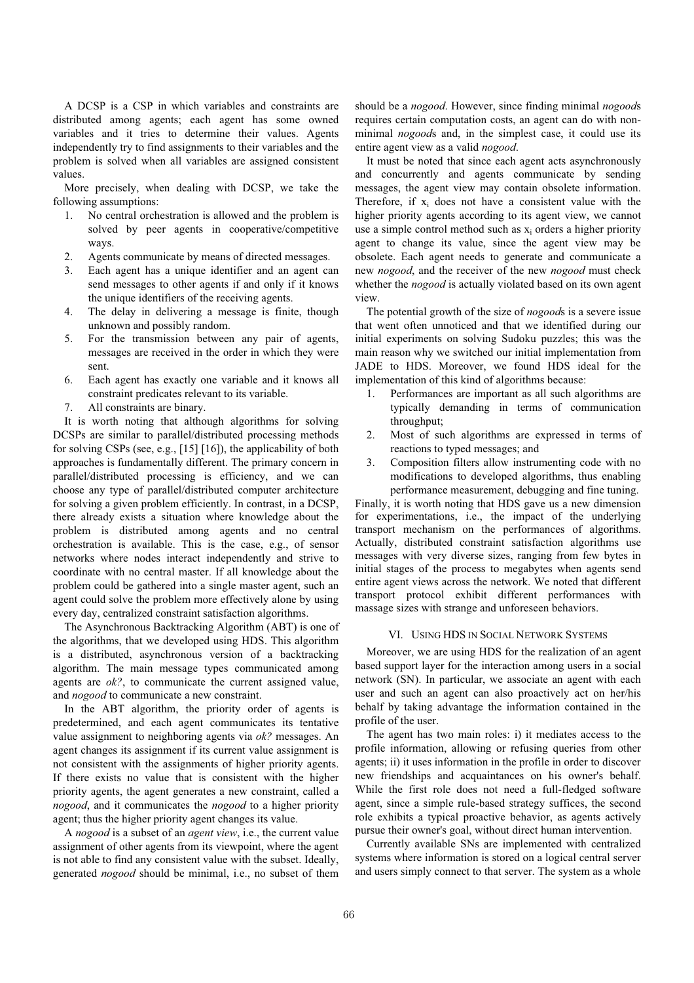A DCSP is a CSP in which variables and constraints are distributed among agents; each agent has some owned variables and it tries to determine their values. Agents independently try to find assignments to their variables and the problem is solved when all variables are assigned consistent values.

More precisely, when dealing with DCSP, we take the following assumptions:

- 1. No central orchestration is allowed and the problem is solved by peer agents in cooperative/competitive ways.
- 2. Agents communicate by means of directed messages.
- 3. Each agent has a unique identifier and an agent can send messages to other agents if and only if it knows the unique identifiers of the receiving agents.
- 4. The delay in delivering a message is finite, though unknown and possibly random.
- 5. For the transmission between any pair of agents, messages are received in the order in which they were sent.
- 6. Each agent has exactly one variable and it knows all constraint predicates relevant to its variable.
- 7. All constraints are binary.

It is worth noting that although algorithms for solving DCSPs are similar to parallel/distributed processing methods for solving CSPs (see, e.g., [15] [16]), the applicability of both approaches is fundamentally different. The primary concern in parallel/distributed processing is efficiency, and we can choose any type of parallel/distributed computer architecture for solving a given problem efficiently. In contrast, in a DCSP, there already exists a situation where knowledge about the problem is distributed among agents and no central orchestration is available. This is the case, e.g., of sensor networks where nodes interact independently and strive to coordinate with no central master. If all knowledge about the problem could be gathered into a single master agent, such an agent could solve the problem more effectively alone by using every day, centralized constraint satisfaction algorithms.

The Asynchronous Backtracking Algorithm (ABT) is one of the algorithms, that we developed using HDS. This algorithm is a distributed, asynchronous version of a backtracking algorithm. The main message types communicated among agents are *ok?*, to communicate the current assigned value, and *nogood* to communicate a new constraint.

In the ABT algorithm, the priority order of agents is predetermined, and each agent communicates its tentative value assignment to neighboring agents via *ok?* messages. An agent changes its assignment if its current value assignment is not consistent with the assignments of higher priority agents. If there exists no value that is consistent with the higher priority agents, the agent generates a new constraint, called a *nogood*, and it communicates the *nogood* to a higher priority agent; thus the higher priority agent changes its value.

A *nogood* is a subset of an *agent view*, i.e., the current value assignment of other agents from its viewpoint, where the agent is not able to find any consistent value with the subset. Ideally, generated *nogood* should be minimal, i.e., no subset of them should be a *nogood*. However, since finding minimal *nogood*s requires certain computation costs, an agent can do with nonminimal *nogood*s and, in the simplest case, it could use its entire agent view as a valid *nogood*.

It must be noted that since each agent acts asynchronously and concurrently and agents communicate by sending messages, the agent view may contain obsolete information. Therefore, if  $x_i$  does not have a consistent value with the higher priority agents according to its agent view, we cannot use a simple control method such as  $x_i$  orders a higher priority agent to change its value, since the agent view may be obsolete. Each agent needs to generate and communicate a new *nogood*, and the receiver of the new *nogood* must check whether the *nogood* is actually violated based on its own agent view.

The potential growth of the size of *nogood*s is a severe issue that went often unnoticed and that we identified during our initial experiments on solving Sudoku puzzles; this was the main reason why we switched our initial implementation from JADE to HDS. Moreover, we found HDS ideal for the implementation of this kind of algorithms because:

- Performances are important as all such algorithms are typically demanding in terms of communication throughput;
- 2. Most of such algorithms are expressed in terms of reactions to typed messages; and
- 3. Composition filters allow instrumenting code with no modifications to developed algorithms, thus enabling performance measurement, debugging and fine tuning.

Finally, it is worth noting that HDS gave us a new dimension for experimentations, i.e., the impact of the underlying transport mechanism on the performances of algorithms. Actually, distributed constraint satisfaction algorithms use messages with very diverse sizes, ranging from few bytes in initial stages of the process to megabytes when agents send entire agent views across the network. We noted that different transport protocol exhibit different performances with massage sizes with strange and unforeseen behaviors.

# VI. USING HDS IN SOCIAL NETWORK SYSTEMS

Moreover, we are using HDS for the realization of an agent based support layer for the interaction among users in a social network (SN). In particular, we associate an agent with each user and such an agent can also proactively act on her/his behalf by taking advantage the information contained in the profile of the user.

The agent has two main roles: i) it mediates access to the profile information, allowing or refusing queries from other agents; ii) it uses information in the profile in order to discover new friendships and acquaintances on his owner's behalf. While the first role does not need a full-fledged software agent, since a simple rule-based strategy suffices, the second role exhibits a typical proactive behavior, as agents actively pursue their owner's goal, without direct human intervention.

Currently available SNs are implemented with centralized systems where information is stored on a logical central server and users simply connect to that server. The system as a whole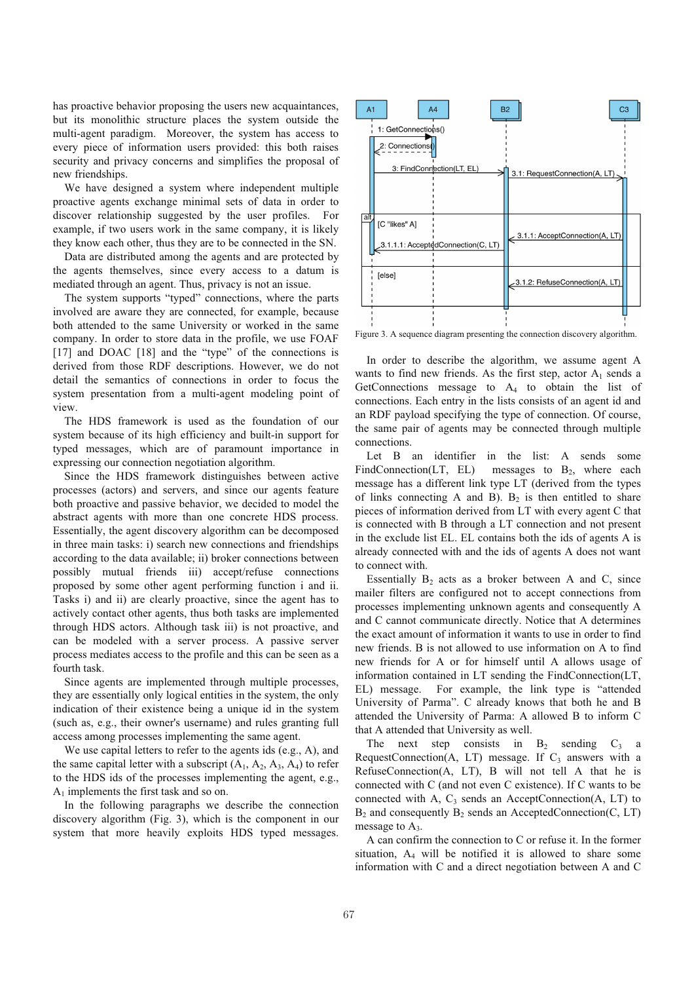has proactive behavior proposing the users new acquaintances, but its monolithic structure places the system outside the multi-agent paradigm. Moreover, the system has access to every piece of information users provided: this both raises security and privacy concerns and simplifies the proposal of new friendships.

We have designed a system where independent multiple proactive agents exchange minimal sets of data in order to discover relationship suggested by the user profiles. For example, if two users work in the same company, it is likely they know each other, thus they are to be connected in the SN.

Data are distributed among the agents and are protected by the agents themselves, since every access to a datum is mediated through an agent. Thus, privacy is not an issue.

The system supports "typed" connections, where the parts involved are aware they are connected, for example, because both attended to the same University or worked in the same company. In order to store data in the profile, we use FOAF [17] and DOAC [18] and the "type" of the connections is derived from those RDF descriptions. However, we do not detail the semantics of connections in order to focus the system presentation from a multi-agent modeling point of view.

The HDS framework is used as the foundation of our system because of its high efficiency and built-in support for typed messages, which are of paramount importance in expressing our connection negotiation algorithm.

Since the HDS framework distinguishes between active processes (actors) and servers, and since our agents feature both proactive and passive behavior, we decided to model the abstract agents with more than one concrete HDS process. Essentially, the agent discovery algorithm can be decomposed in three main tasks: i) search new connections and friendships according to the data available; ii) broker connections between possibly mutual friends iii) accept/refuse connections proposed by some other agent performing function i and ii. Tasks i) and ii) are clearly proactive, since the agent has to actively contact other agents, thus both tasks are implemented through HDS actors. Although task iii) is not proactive, and can be modeled with a server process. A passive server process mediates access to the profile and this can be seen as a fourth task.

Since agents are implemented through multiple processes, they are essentially only logical entities in the system, the only indication of their existence being a unique id in the system (such as, e.g., their owner's username) and rules granting full access among processes implementing the same agent.

We use capital letters to refer to the agents ids (e.g., A), and the same capital letter with a subscript  $(A_1, A_2, A_3, A_4)$  to refer to the HDS ids of the processes implementing the agent, e.g.,  $A_1$  implements the first task and so on.

In the following paragraphs we describe the connection discovery algorithm (Fig. 3), which is the component in our system that more heavily exploits HDS typed messages.



Figure 3. A sequence diagram presenting the connection discovery algorithm.

In order to describe the algorithm, we assume agent A wants to find new friends. As the first step, actor  $A_1$  sends a GetConnections message to A4 to obtain the list of connections. Each entry in the lists consists of an agent id and an RDF payload specifying the type of connection. Of course, the same pair of agents may be connected through multiple connections.

Let B an identifier in the list: A sends some FindConnection(LT, EL) messages to  $B_2$ , where each message has a different link type LT (derived from the types of links connecting A and B).  $B_2$  is then entitled to share pieces of information derived from LT with every agent C that is connected with B through a LT connection and not present in the exclude list EL. EL contains both the ids of agents A is already connected with and the ids of agents A does not want to connect with.

Essentially  $B_2$  acts as a broker between A and C, since mailer filters are configured not to accept connections from processes implementing unknown agents and consequently A and C cannot communicate directly. Notice that A determines the exact amount of information it wants to use in order to find new friends. B is not allowed to use information on A to find new friends for A or for himself until A allows usage of information contained in LT sending the FindConnection(LT, EL) message. For example, the link type is "attended University of Parma". C already knows that both he and B attended the University of Parma: A allowed B to inform C that A attended that University as well.

The next step consists in  $B_2$  sending  $C_3$  a RequestConnection(A, LT) message. If  $C_3$  answers with a RefuseConnection(A, LT), B will not tell A that he is connected with C (and not even C existence). If C wants to be connected with A,  $C_3$  sends an AcceptConnection(A, LT) to  $B_2$  and consequently  $B_2$  sends an AcceptedConnection(C, LT) message to  $A_3$ .

A can confirm the connection to C or refuse it. In the former situation,  $A_4$  will be notified it is allowed to share some information with C and a direct negotiation between A and C